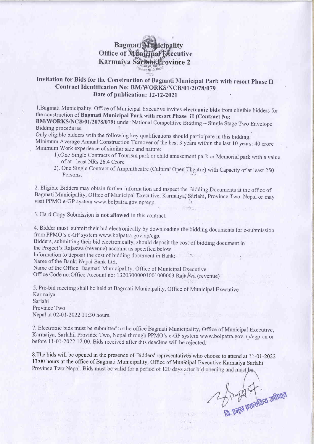## lity ecutive vince 2  $.572$

## Invitation for Bids for the Construction of Bagmati Municipal Park with resort Phase II Contract Identification No: BM/WORKS/NCB/01/2078/079 Date of publication: 12-12-2021

l.Bagmati Municipality, Office of Municipal Executive invites electronic bids from eligible bidders for the construction of Bagmati Municipal Park with resort Phase II (Contract No:

BM/WORKS/NCB/01/2078/079) under National Competitive Bidding - Single Stage Two Envelope Bidding procedures.

Only eligible bidders with the following key qualifications should parricipate in this bidding: Minimum Average Annual Construction Turnover of the best 3 years within the last 10 years: 40 crore Minimum Work experience of similar size and nature:

- 1). One Single Contracts of Tourism park or child amusement park or Memorial park with a value of at least NRs 26.4 Crore
- 2). One Single Contract of Amphitheatre (Cultural Open Theatre) with Capacity of at least 250 Persons.

2' Eligible Bidders may obtain further information and inspect the Biclding Documents at the office of Bagmati Municipality, Office of Municipal Executive, Karmaiya, Sarlahi, Province Two, Nepal or may visit PPMO e-GP system www.bolpatra.gov.np/egp. . .,

3. Hard Copy Submission is not allowed in this contract.

4. Bidder must submit their bid electronically by downloading the bidding documents for e-submission from PPMO's e-GP system www.bolpatra.gov.np/egp.

Bidders, submitting their bid electronically, should deposit the cost of bidding document in the Project's Rajaswa (revenue) account as specified below

Information to deposit the cost of bidding document in Bank:

Name of the Bank: Nepal Bank Ltd.

Name of the Office: Bagrnati Municipality, Office of Municipal Executive

Office Code no:Office Account no: 13203000001001000003 Rajaswa (revenue)

5. Pre-bid meeting shall be held at Bagmati Municipality, Office of Municipal Executive Karmaiya Sarlahi Province Two Nepal at 02-01-2022 11:30 hours.

7. Electronic bids must be submitted to the office Bagmati Municipality, Office of Municipal Executive, Karmaiya, Sarlahi, Province Two, Nepal through PPMO's e-GP system www.bolpatra.gov.np/egp on or before 11-01-2022 12:00. Bids received after this deadline will be rejected.

8. The bids will be opened in the presence of Bidders' representatives who choose to attend at 11-01-2022 13:00 hours at the office of Bagmati Municipality, Office of Municipal Executive Karmaiya Sarlahi<br>Province Two Nepal. Bids must be valid for a period of 120 days after bid opening and must be.

B. Doyce Dell'Elloza shtatoa